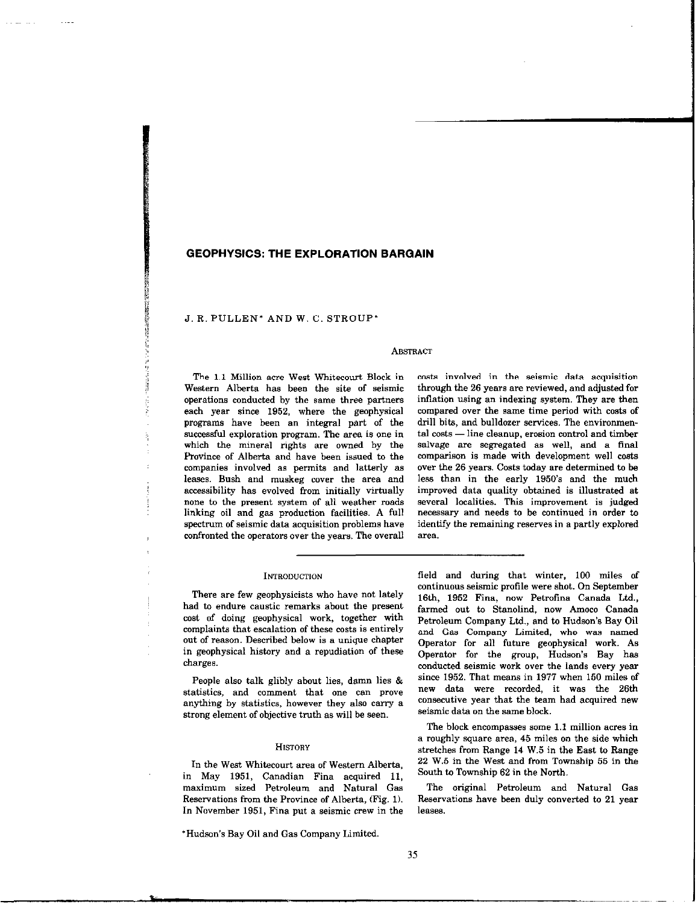# GEOPHYSICS: THE EXPLORATION BARGAIN

J. R. PULLEN' AND W. C. STROUP'

## **ABSTRACT**

Western Alberta has been the site of seismic through the 26 years are reviewed, and adjusted for operations conducted by the same three partners inflation using an indexing system. They are then each year since 1952, where the geophysical compared over the same time period with costs of programs have been an integral part of the drill bits, and bulldozer services. The enviromnensuccessful exploration program. The area is one in tal costs — line cleanup, erosion control and timber which the mineral rights are owned by the salvage are segregated as well, and a tinal Province of Alberta and have been issued to the comparison is made with development well costs companies involved as permits and latterly as over the 26 years. Costs today are determined to be companies involved as permits and latterly as leases. Bush and muskeg cover the area and less than in the early 1950's and the much accessibility has evolved from initially virtually improved data quality obtained is illustrated at none to the present system of all weather roads several localities. This improvement is judged linking oil and gas production facilities. A full necessary and needs to be continued in order to spectrum of seismic data acquisition problems have identify the remaining reserves in a partly explored confronted the operators over the years. The overall area.

The I.1 Million acre West Whitecourt Block in casts involved in the seismic data acquisition

#### **INTRODUCTION**

There are few geophysicists who have not lately had to endure caustic remarks about the present cost of doing geophysical work, together with complaints that escalation of these costs is entirely out of reason. Described below is a unique chapter in geophysical history and a. repudiation of these charges.

statistics, and comment that one can prove new data were recorded, it was the 26th<br>contribute by statistics however that also comment a consecutive year that the team had acquired new anything by statistics, however they also carry a consecutive year that the team strong element of chiestive truth as will be seen seismic data on the same block. strong element of objective truth as will be seen.

#### **HISTORY**

In the West Whitecourt area of Western Alberta,  $\frac{22 \text{ W.5}}{20}$  in the West and from Township  $\frac{62 \text{ in the North}}{20}$ . in May 1951, Canadian Fina acquired 11, maximum sized Petroleum and Natural Gas The original Petroleum and Natural Gas Reservations from the Province of Alberta, (Fig. 1). Reservations have been duly converted to 21 year In November 1951, Fina put a seismic crew in the leases.

\*Hudson's Bay Oil and Gas Company Limited.

field and during that winter, 100 miles of continuous seismic profile were shot. On September 16th, 1952 Fina, now Petrofina Canada Ltd., farmed out to Stanolind, now Amoco Canada Petroleum Company Ltd., and to Hudson's Bay Oil and Gas Company Limited, who was named Operator for all future geophysical work. As Operator for the group, Hudson's Bay has conducted seismic work over the lands every year<br>since 1952. That means in 1977 when 150 miles of People also talk glibly about lies, damn lies & since 1952. That means in 1977 when 150 miles of<br>atistics and comment that one can prove hew data were recorded, it was the 26th

> The block encompasses some I.1 million acres in a roughly square area, 45 miles on the aide which stretches from Range 14 W.5 in the East to Range 22 W.5 in the West and from Township 55 in the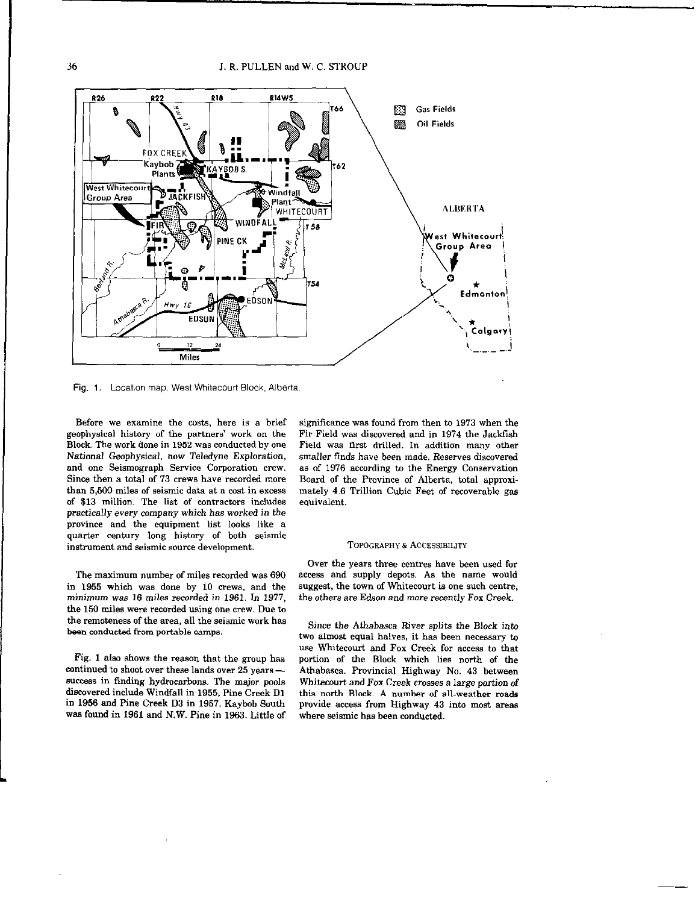

Fig. 1. Location map. West Whitecourt Block, Alberta.

Before we examine the costs, here is e brief geophysical history of the partners' work on the Block. The work done in 1952 was conducted by one National Geophysical, now Teledyne Exploration, and one Seismograph Service Corporation crew. Since then a total of 13 crews have recorded more than 5,500 miles of seismic data at a cost in excess of \$13 million. The list of contractors includes practically every company which has worked in the province and the equipment list looks like a quarter century long history of both seismic instrument and seismic source development.

The maximum number of miles recorded was 690 in 1955 which was done by 10 crews, and the minimum was 16 miles recorded in 1961. In 1977, the 150 miles were recorded using one crew. Due ta the remoteness of the area, all the seismic work has been conducted from portable camps.

Fig. 1 also shows the reason that the group has continued to shoot over these lands over 25 yearssuccess in finding hydrocarbons. The major pools diecovered include Windfall in 1955, Pine Creek Dl in 1956 end Pine Creek D3 in 1957. Kayboh South wae found in 1961 and N.W. Pine in 1963. Little of

significance was found from then to 1973 when the Fir Field was discovered and in 1974 the Jackfish Field was first drilled. In addition many other smaller finds have been made. Reserves discovered as of 1976 according to the Energy Conservation Board of the Province of Alberta, total approximately 4.6 Trillion Cubic Feet of recoverable gas equivalent.

### TOPOGRAPHY & ACCESSIBILITY

Over the years three centres have been used for access and supply depots. As the name would suggest, the town of Whitecourt is one such centre, the others are Edson and more recently Fox Creek.

Since the Athabasca River splits the Block into two almost equal halves, it has been necessary to use Whitecourt and Fox Creek for access to that portion of the Block which lies north of the Athabasca. Provincial Highway No. 43 between Whitecourt and Fox Creek crosses a large portion of this north Block. A number of all-weather roads provide access from Highway 43 into most areas where seismic has been conducted.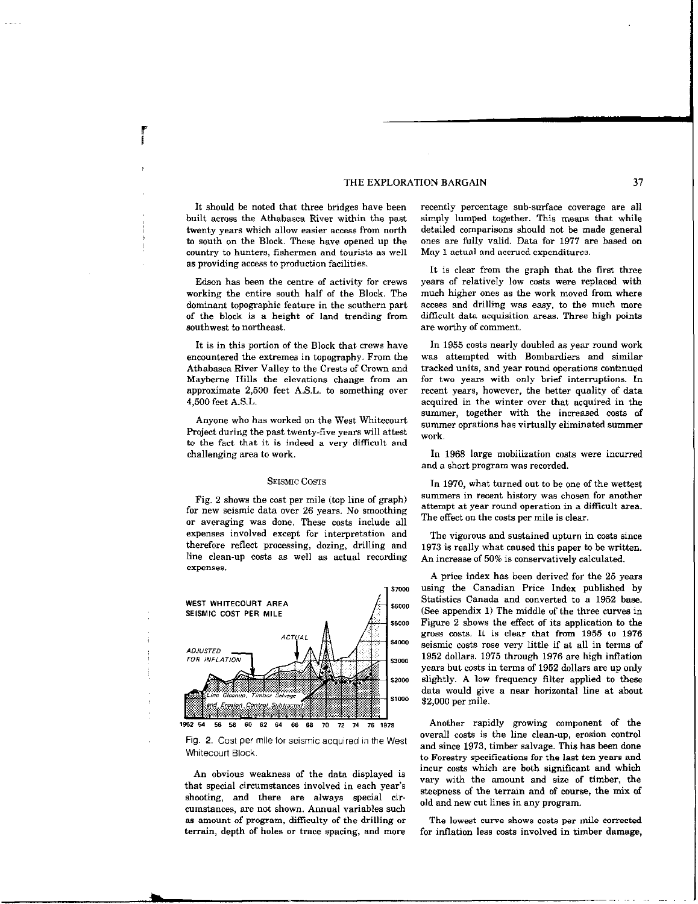# THE EXPLORATION BARGAIN 37

It should be noted that three bridges have been built across the Athabasca River within the past twenty years which allow easier access from north to south on the Block. These have opened up the country to hunters, fishermen and tourists as well as providing access to production facilities.

Edson has been the centre of activity for crews working the entire south half of the Block. The dominant topographic feature in the southern part of the block is a height of land trending from southwest to northeast.

It is in this portion of the Block that crews have encountered the extremes in topography. From the Athabasca River Valley to the Crests of Crown and Mayberne Hills the elevations change from an approximate 2,500 feet A.S.L. to something over 4,500 feet A.S.L.

Anyone who has worked on the West whitecourt Project during the past twenty-five years will attest to the fact that it is indeed a very difficult and challenging area to work.

## SEISMIC COSTS

Fig, 2 shows the cost per mile (top line of graph) for new seismic data over 26 years. No smoothing or averaging was done. These casts include all expenses involved except for interpretation and therefore reflect processing, dozing, drilling and line clean-up costs as well as actual recording expenses.



Fig. 2. Cost per mile for seismic acquired in the West Whitecourt Block.

An obvious weakness of the data displayed is that special circumstances involved in each year's shooting, and there are always special circumstances. are not shown. Annual variables such aa amount of program, difficulty of the drilling or The lowest curve shows costs per mile corrected terrain, depth of holes or trace spacing, and more for inflation less costs involved in timber damage,

recently percentage sub-surface coverage are all simply lumped together. Thia means that while detailed comparisons should not be made general ones are fully valid. Data for 1977 are hased on May I actual and accrued expenditures.

It is clear from the graph that the first three years of relatively low costs were replaced with much higher ones as the work moved from where access and drilling was easy, to the much more difficult data acquisition areas. Three high points are worthy of comment.

In I955 costs nearly doubled as year round work was attempted with Bombardiers and similar tracked units, and year round operations continued for two years with only brief interruptions. In recent years, however, the better quality of data acquired in the winter over that acquired in the summer, together with the increased costs of summer oprations has virtually eliminated summer work.

In 1968 large mobilization costs were incurred and a short program was recorded.

In 1970, what turned out to be one of the wettest summers in recent history was chosen for another attempt at year round operation in a difficult area. The effect on the costs per mile is clear.

The vigorous and sustained upturn in costs since 1973 is really what caused this paper to he written. An increase of 50% is conservatively calculated.

A price index has been derived for the 25 years using the Canadian Price Index published by Statistics Canada and converted to a 1952 base. (See appendix 1) The middle of the three curves in Figure 2 shows the effect of its application to the gross costs. It is clear that from 1955 to 1976 seismic costs r08e very little if at all in terms of 1952 dollars. 1975 through 1976 are high inflation years but costs in terms of 1952 dollars are up only slightly. A low frequency filter applied to these data would give a near horizontal line at about \$2,000 per mile.

Another rapidly growing component of the overall costs is the line clean-up, erosion control and since 1973, timber salvage. This has been done to Forestry specifications for the last ten years and incur casts which are both significant and which vary with the amount and size of timber, the steepness of the terrain and of course, the mix of old and new cut lines in any program.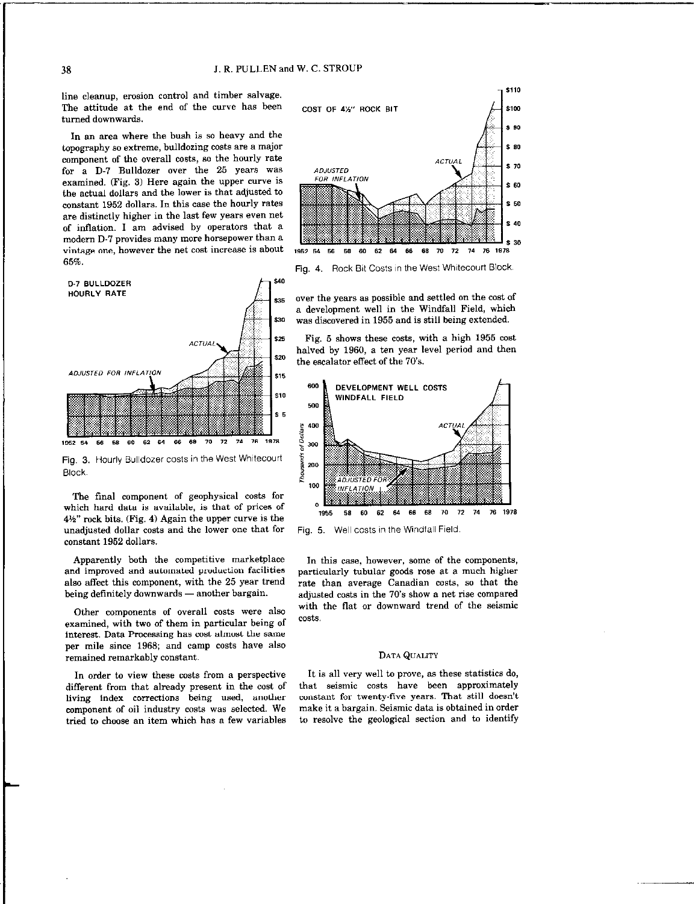line cleanup, erosion control and timber salvage. The attitude at the end of the curve has been cost of 4%" ROCK BIT turned downwards.

In an area where the bush is so heavy and the topography 80 extreme, bulldozing coats are a major component of the overall costs, so the hourly rate for a  $D-7$  Bulldozer over the 25 years was *ADJUSTED*<br>considered (Fig. 3) Here exain the unper curve is *FOR INFLATION* examined. (Fig. 3) Here again the upper curve is the actual dollars and the lower is that adjusted to constant 1952 dollars. In this case the hourly rates are distinctly higher in the last few years even net of inflation. I am advised by operators that a modern D-7 provides many more horsepower than a. vintage one, however the net cost increase is about  $\frac{1952}{1952}$  54 56 58 60 62 64 66 68 70 72 74 76 1976 65%. .



Fig. 3. Hourly Bulldozer costs in the West Whitecourt Block.

'The final component of geophysical costs for which hard data is available, ia that of prices of  $4\frac{1}{2}$ " rock bits. (Fig. 4) Again the upper curve is the unadjusted dollar costs and the lower one that for constant 1952 dollars.

Apparently both the competitive marketplace and improved and automated production facilities also affect this component, with the 25 year trend being definitely downwards - another bargain.

Other components of overall costs were also examined, with two of them in particular being of interest. Data Processing has cost almost the same per mile since 1968; and camp casts have also remained remarkably constant.

In order to view these costs from a perspective different from that already present in the cast of living index corrections being used, another component of oil industry casts was selected. We tried to choose an item which has a few variables



Fig, 4. Rock Bit Costs in the West Whitecourt Block.

s<sub>35</sub> over the years as possible and settled on the cost of a development well in the Windfall Field, which 130 was discovered in 1955 and is still being extended.

 $s25$  Fig. 5 shows these costs, with a high 1955 cost halved by 1960, a ten year level period and then the escalator effect of the 70's.



Fig. 5. Well costs in the Windfall Field

In this case, however, some of the components, particularly tubular goods rose at a much higher rate than average Canadian costs, so that the adjusted costs in the 70's show a net rise compared with the flat or downward trend of the seismic costs.

# DATA QUALITY

It is all very well to prove, as these statistics do, that seismic costs have been approximately constant for twenty-five years. That still doesn't make it a bargain. Seismic data is obtained in order to resolve the geological section and to identify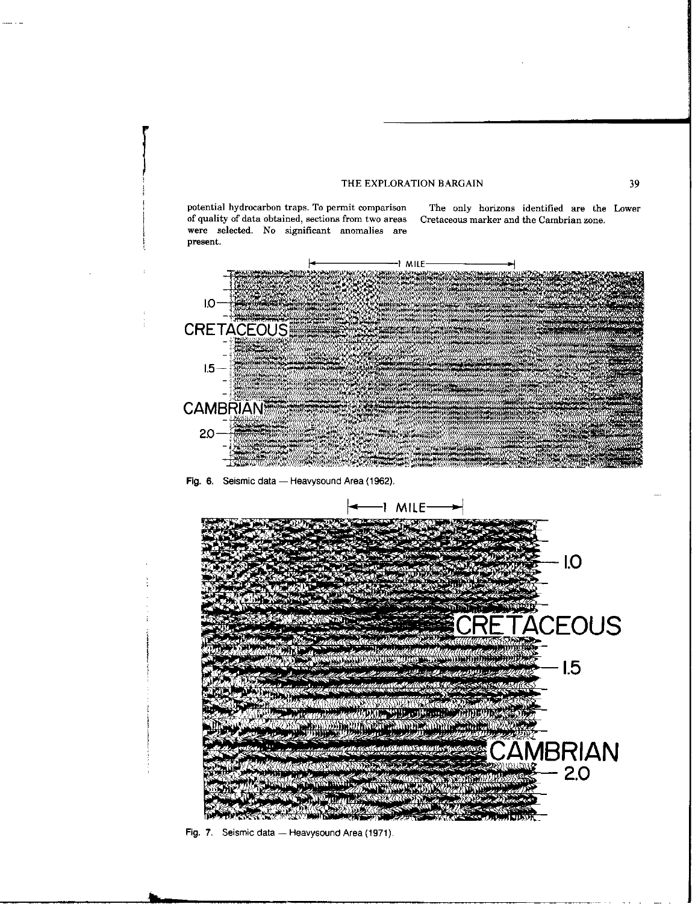# THE EXPLORATION BARGAIN 39

potential hydraearbon traps. To permit comparison The only horizons identified are the Lower of quality of data obtained, sections from two areas Cretaceaus marker and the Cambrian zone. were selected. No significant anomalies are present.



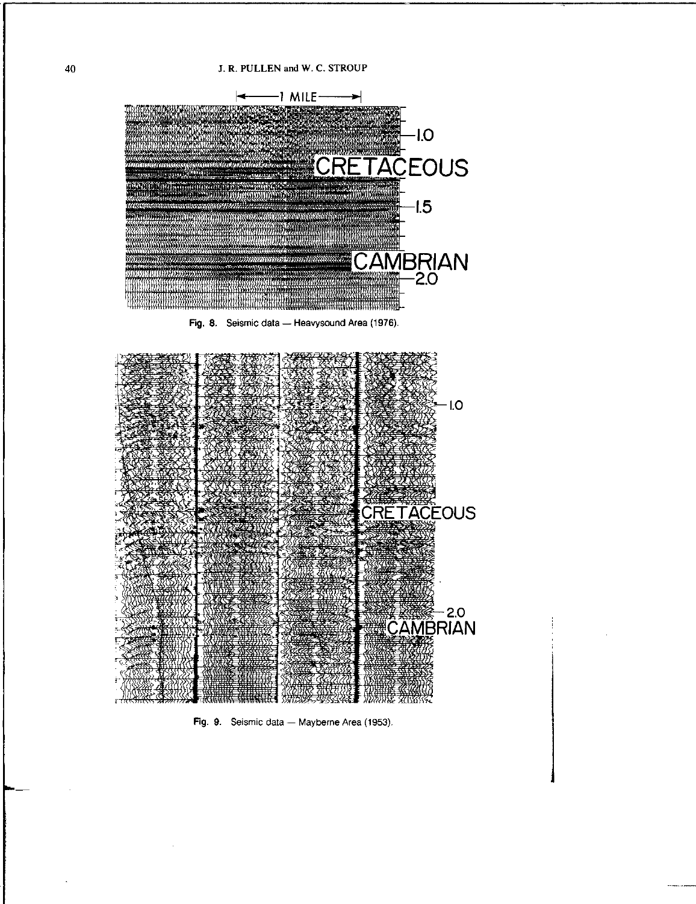

Fig. 8. Seismic data - Heavysound Area (1976).



Fig. 9. Seismic data - Mayberne Area (1953).